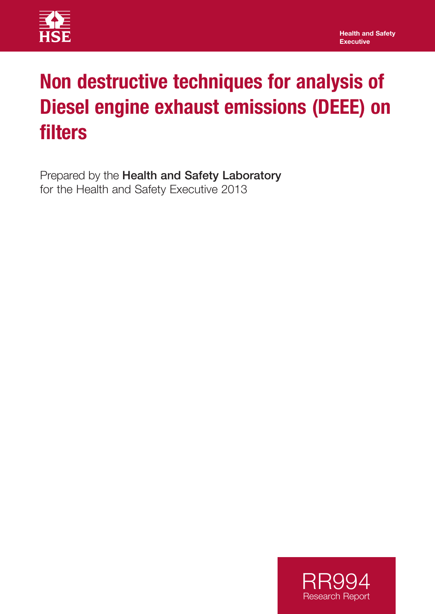

# **Non destructive techniques for analysis of Diesel engine exhaust emissions (DEEE) on filters**

Prepared by the Health and Safety Laboratory for the Health and Safety Executive 2013

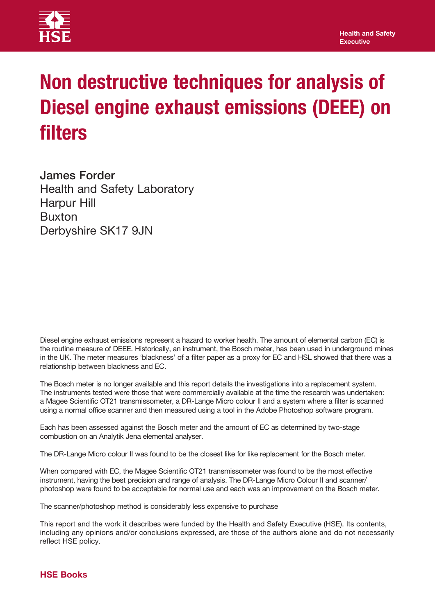

# **Non destructive techniques for analysis of Diesel engine exhaust emissions (DEEE) on filters**

James Forder Health and Safety Laboratory Harpur Hill Buxton Derbyshire SK17 9JN

Diesel engine exhaust emissions represent a hazard to worker health. The amount of elemental carbon (EC) is the routine measure of DEEE. Historically, an instrument, the Bosch meter, has been used in underground mines in the UK. The meter measures 'blackness' of a filter paper as a proxy for EC and HSL showed that there was a relationship between blackness and EC.

The Bosch meter is no longer available and this report details the investigations into a replacement system. The instruments tested were those that were commercially available at the time the research was undertaken: a Magee Scientific OT21 transmissometer, a DR-Lange Micro colour II and a system where a filter is scanned using a normal office scanner and then measured using a tool in the Adobe Photoshop software program.

Each has been assessed against the Bosch meter and the amount of EC as determined by two-stage combustion on an Analytik Jena elemental analyser.

The DR-Lange Micro colour II was found to be the closest like for like replacement for the Bosch meter.

When compared with EC, the Magee Scientific OT21 transmissometer was found to be the most effective instrument, having the best precision and range of analysis. The DR-Lange Micro Colour II and scanner/ photoshop were found to be acceptable for normal use and each was an improvement on the Bosch meter.

The scanner/photoshop method is considerably less expensive to purchase

This report and the work it describes were funded by the Health and Safety Executive (HSE). Its contents, including any opinions and/or conclusions expressed, are those of the authors alone and do not necessarily reflect HSE policy.

### **HSE Books**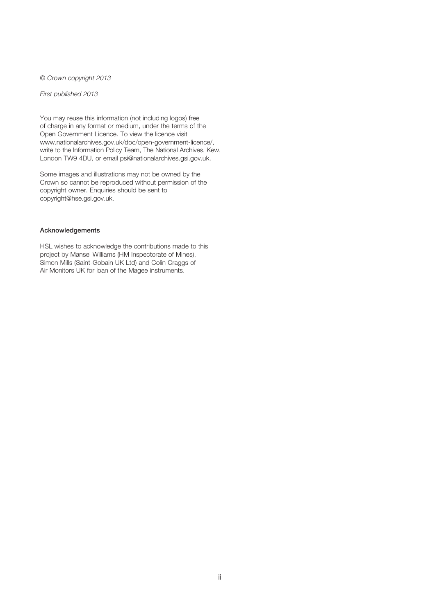© *Crown copyright 2013* 

*First published 2013* 

You may reuse this information (not including logos) free of charge in any format or medium, under the terms of the Open Government Licence. To view the licence visit www.nationalarchives.gov.uk/doc/open-government-licence/, write to the Information Policy Team, The National Archives, Kew, London TW9 4DU, or email psi@nationalarchives.gsi.gov.uk.

Some images and illustrations may not be owned by the Crown so cannot be reproduced without permission of the copyright owner. Enquiries should be sent to copyright@hse.gsi.gov.uk.

#### Acknowledgements

HSL wishes to acknowledge the contributions made to this project by Mansel Williams (HM Inspectorate of Mines), Simon Mills (Saint-Gobain UK Ltd) and Colin Craggs of Air Monitors UK for loan of the Magee instruments.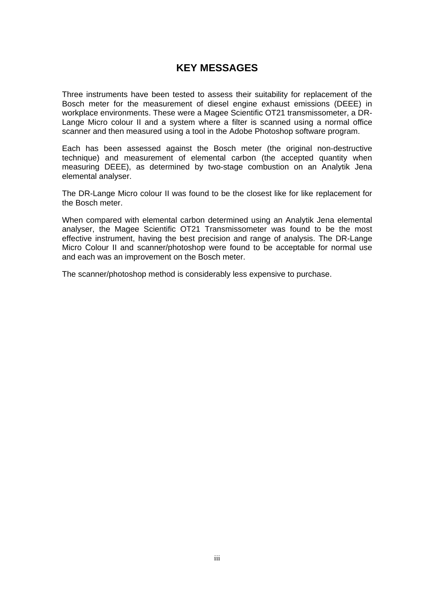## **KEY MESSAGES**

Three instruments have been tested to assess their suitability for replacement of the Bosch meter for the measurement of diesel engine exhaust emissions (DEEE) in workplace environments. These were a Magee Scientific OT21 transmissometer, a DR-Lange Micro colour II and a system where a filter is scanned using a normal office scanner and then measured using a tool in the Adobe Photoshop software program.

Each has been assessed against the Bosch meter (the original non-destructive technique) and measurement of elemental carbon (the accepted quantity when measuring DEEE), as determined by two-stage combustion on an Analytik Jena elemental analyser.

The DR-Lange Micro colour II was found to be the closest like for like replacement for the Bosch meter.

When compared with elemental carbon determined using an Analytik Jena elemental analyser, the Magee Scientific OT21 Transmissometer was found to be the most effective instrument, having the best precision and range of analysis. The DR-Lange Micro Colour II and scanner/photoshop were found to be acceptable for normal use and each was an improvement on the Bosch meter.

The scanner/photoshop method is considerably less expensive to purchase.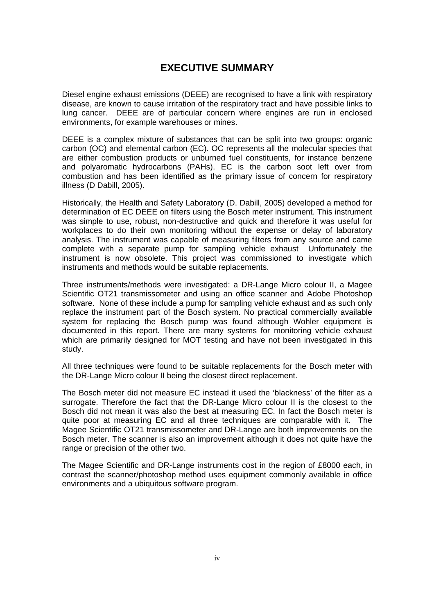## **EXECUTIVE SUMMARY**

Diesel engine exhaust emissions (DEEE) are recognised to have a link with respiratory disease, are known to cause irritation of the respiratory tract and have possible links to lung cancer. DEEE are of particular concern where engines are run in enclosed environments, for example warehouses or mines.

DEEE is a complex mixture of substances that can be split into two groups: organic carbon (OC) and elemental carbon (EC). OC represents all the molecular species that are either combustion products or unburned fuel constituents, for instance benzene and polyaromatic hydrocarbons (PAHs). EC is the carbon soot left over from combustion and has been identified as the primary issue of concern for respiratory illness (D Dabill, 2005).

Historically, the Health and Safety Laboratory (D. Dabill, 2005) developed a method for determination of EC DEEE on filters using the Bosch meter instrument. This instrument was simple to use, robust, non-destructive and quick and therefore it was useful for workplaces to do their own monitoring without the expense or delay of laboratory analysis. The instrument was capable of measuring filters from any source and came complete with a separate pump for sampling vehicle exhaust Unfortunately the instrument is now obsolete. This project was commissioned to investigate which instruments and methods would be suitable replacements.

Three instruments/methods were investigated: a DR-Lange Micro colour II, a Magee Scientific OT21 transmissometer and using an office scanner and Adobe Photoshop software. None of these include a pump for sampling vehicle exhaust and as such only replace the instrument part of the Bosch system. No practical commercially available system for replacing the Bosch pump was found although Wohler equipment is documented in this report. There are many systems for monitoring vehicle exhaust which are primarily designed for MOT testing and have not been investigated in this study.

All three techniques were found to be suitable replacements for the Bosch meter with the DR-Lange Micro colour II being the closest direct replacement.

The Bosch meter did not measure EC instead it used the 'blackness' of the filter as a surrogate. Therefore the fact that the DR-Lange Micro colour II is the closest to the Bosch did not mean it was also the best at measuring EC. In fact the Bosch meter is quite poor at measuring EC and all three techniques are comparable with it. The Magee Scientific OT21 transmissometer and DR-Lange are both improvements on the Bosch meter. The scanner is also an improvement although it does not quite have the range or precision of the other two.

The Magee Scientific and DR-Lange instruments cost in the region of £8000 each, in contrast the scanner/photoshop method uses equipment commonly available in office environments and a ubiquitous software program.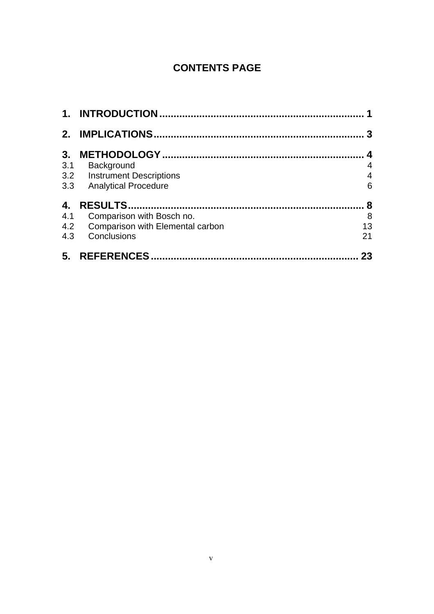# **CONTENTS PAGE**

|     |                                         | 3                |
|-----|-----------------------------------------|------------------|
| 3.  |                                         | $\boldsymbol{4}$ |
| 3.1 | Background                              | 4                |
|     | 3.2 Instrument Descriptions             | $\overline{4}$   |
|     | 3.3 Analytical Procedure                | 6                |
| 4.  |                                         | 8                |
| 4.1 | Comparison with Bosch no.               | 8                |
| 4.2 | <b>Comparison with Elemental carbon</b> | 13               |
|     | 4.3 Conclusions                         | 21               |
| 5.  |                                         | 23               |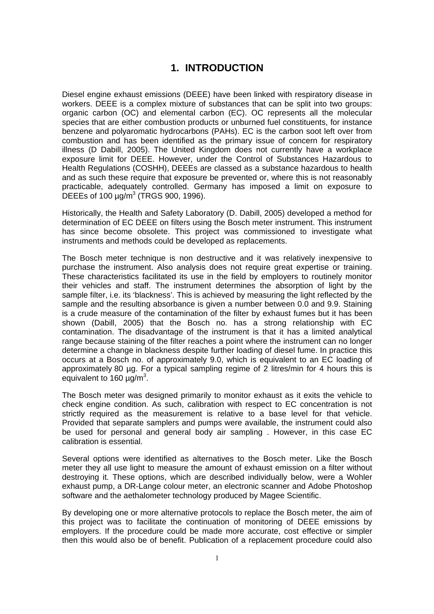### **1. INTRODUCTION**

<span id="page-7-0"></span>Diesel engine exhaust emissions (DEEE) have been linked with respiratory disease in workers. DEEE is a complex mixture of substances that can be split into two groups: organic carbon (OC) and elemental carbon (EC). OC represents all the molecular species that are either combustion products or unburned fuel constituents, for instance benzene and polyaromatic hydrocarbons (PAHs). EC is the carbon soot left over from combustion and has been identified as the primary issue of concern for respiratory illness (D Dabill, 2005). The United Kingdom does not currently have a workplace exposure limit for DEEE. However, under the Control of Substances Hazardous to Health Regulations (COSHH), DEEEs are classed as a substance hazardous to health and as such these require that exposure be prevented or, where this is not reasonably practicable, adequately controlled. Germany has imposed a limit on exposure to DEEEs of 100  $\mu$ g/m<sup>3</sup> (TRGS 900, 1996).

Historically, the Health and Safety Laboratory (D. Dabill, 2005) developed a method for determination of EC DEEE on filters using the Bosch meter instrument. This instrument has since become obsolete. This project was commissioned to investigate what instruments and methods could be developed as replacements.

The Bosch meter technique is non destructive and it was relatively inexpensive to purchase the instrument. Also analysis does not require great expertise or training. These characteristics facilitated its use in the field by employers to routinely monitor their vehicles and staff. The instrument determines the absorption of light by the sample filter, i.e. its 'blackness'. This is achieved by measuring the light reflected by the sample and the resulting absorbance is given a number between 0.0 and 9.9. Staining is a crude measure of the contamination of the filter by exhaust fumes but it has been shown (Dabill, 2005) that the Bosch no. has a strong relationship with EC contamination. The disadvantage of the instrument is that it has a limited analytical range because staining of the filter reaches a point where the instrument can no longer determine a change in blackness despite further loading of diesel fume. In practice this occurs at a Bosch no. of approximately 9.0, which is equivalent to an EC loading of approximately 80 µg. For a typical sampling regime of 2 litres/min for 4 hours this is equivalent to 160  $\mu$ g/m<sup>3</sup>.

The Bosch meter was designed primarily to monitor exhaust as it exits the vehicle to check engine condition. As such, calibration with respect to EC concentration is not strictly required as the measurement is relative to a base level for that vehicle. Provided that separate samplers and pumps were available, the instrument could also be used for personal and general body air sampling . However, in this case EC calibration is essential.

Several options were identified as alternatives to the Bosch meter. Like the Bosch meter they all use light to measure the amount of exhaust emission on a filter without destroying it. These options, which are described individually below, were a Wohler exhaust pump, a DR-Lange colour meter, an electronic scanner and Adobe Photoshop software and the aethalometer technology produced by Magee Scientific.

By developing one or more alternative protocols to replace the Bosch meter, the aim of this project was to facilitate the continuation of monitoring of DEEE emissions by employers. If the procedure could be made more accurate, cost effective or simpler then this would also be of benefit. Publication of a replacement procedure could also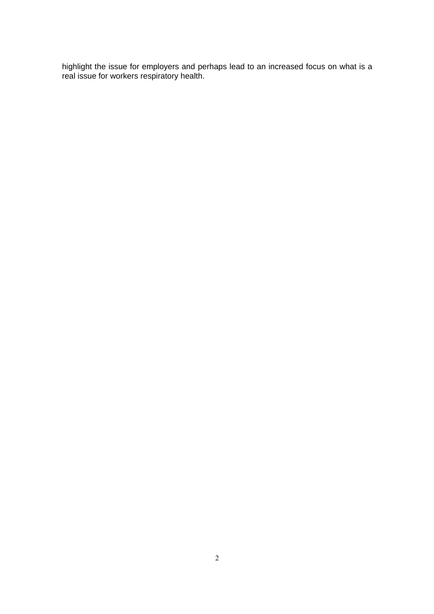highlight the issue for employers and perhaps lead to an increased focus on what is a real issue for workers respiratory health.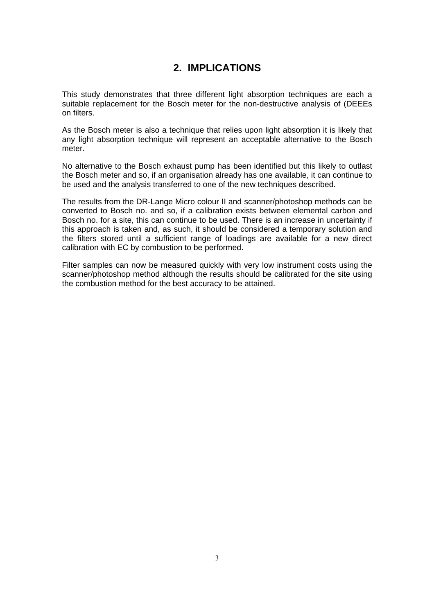# **2. IMPLICATIONS**

<span id="page-9-0"></span>This study demonstrates that three different light absorption techniques are each a suitable replacement for the Bosch meter for the non-destructive analysis of (DEEEs on filters.

As the Bosch meter is also a technique that relies upon light absorption it is likely that any light absorption technique will represent an acceptable alternative to the Bosch meter.

No alternative to the Bosch exhaust pump has been identified but this likely to outlast the Bosch meter and so, if an organisation already has one available, it can continue to be used and the analysis transferred to one of the new techniques described.

The results from the DR-Lange Micro colour II and scanner/photoshop methods can be converted to Bosch no. and so, if a calibration exists between elemental carbon and Bosch no. for a site, this can continue to be used. There is an increase in uncertainty if this approach is taken and, as such, it should be considered a temporary solution and the filters stored until a sufficient range of loadings are available for a new direct calibration with EC by combustion to be performed.

Filter samples can now be measured quickly with very low instrument costs using the scanner/photoshop method although the results should be calibrated for the site using the combustion method for the best accuracy to be attained.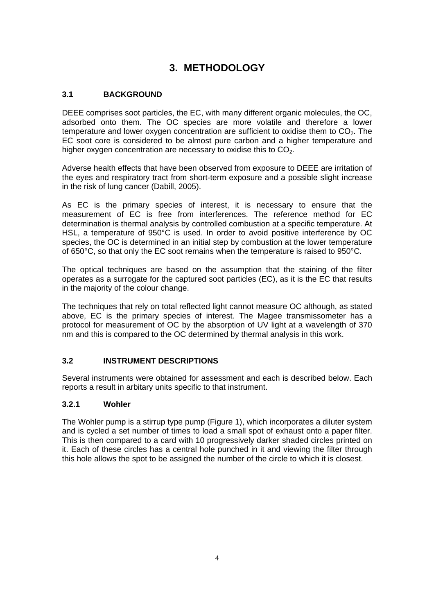# **3. METHODOLOGY**

#### <span id="page-10-0"></span>**3.1 BACKGROUND**

DEEE comprises soot particles, the EC, with many different organic molecules, the OC, adsorbed onto them. The OC species are more volatile and therefore a lower temperature and lower oxygen concentration are sufficient to oxidise them to  $CO<sub>2</sub>$ . The EC soot core is considered to be almost pure carbon and a higher temperature and higher oxygen concentration are necessary to oxidise this to  $CO<sub>2</sub>$ .

Adverse health effects that have been observed from exposure to DEEE are irritation of the eyes and respiratory tract from short-term exposure and a possible slight increase in the risk of lung cancer (Dabill, 2005).

As EC is the primary species of interest, it is necessary to ensure that the measurement of EC is free from interferences. The reference method for EC determination is thermal analysis by controlled combustion at a specific temperature. At HSL, a temperature of 950°C is used. In order to avoid positive interference by OC species, the OC is determined in an initial step by combustion at the lower temperature of 650°C, so that only the EC soot remains when the temperature is raised to 950°C.

The optical techniques are based on the assumption that the staining of the filter operates as a surrogate for the captured soot particles (EC), as it is the EC that results in the majority of the colour change.

The techniques that rely on total reflected light cannot measure OC although, as stated above, EC is the primary species of interest. The Magee transmissometer has a protocol for measurement of OC by the absorption of UV light at a wavelength of 370 nm and this is compared to the OC determined by thermal analysis in this work.

#### **3.2 INSTRUMENT DESCRIPTIONS**

Several instruments were obtained for assessment and each is described below. Each reports a result in arbitary units specific to that instrument.

#### **3.2.1 Wohler**

The Wohler pump is a stirrup type pump (Figure 1), which incorporates a diluter system and is cycled a set number of times to load a small spot of exhaust onto a paper filter. This is then compared to a card with 10 progressively darker shaded circles printed on it. Each of these circles has a central hole punched in it and viewing the filter through this hole allows the spot to be assigned the number of the circle to which it is closest.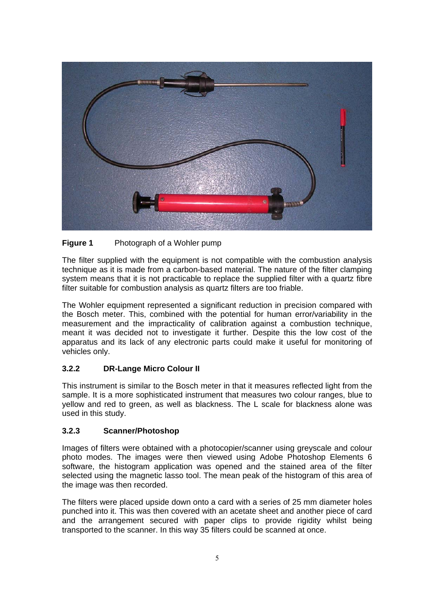

#### **Figure 1** Photograph of a Wohler pump

The filter supplied with the equipment is not compatible with the combustion analysis technique as it is made from a carbon-based material. The nature of the filter clamping system means that it is not practicable to replace the supplied filter with a quartz fibre filter suitable for combustion analysis as quartz filters are too friable.

The Wohler equipment represented a significant reduction in precision compared with the Bosch meter. This, combined with the potential for human error/variability in the measurement and the impracticality of calibration against a combustion technique, meant it was decided not to investigate it further. Despite this the low cost of the apparatus and its lack of any electronic parts could make it useful for monitoring of vehicles only.

### **3.2.2 DR-Lange Micro Colour II**

This instrument is similar to the Bosch meter in that it measures reflected light from the sample. It is a more sophisticated instrument that measures two colour ranges, blue to yellow and red to green, as well as blackness. The L scale for blackness alone was used in this study.

#### **3.2.3 Scanner/Photoshop**

Images of filters were obtained with a photocopier/scanner using greyscale and colour photo modes. The images were then viewed using Adobe Photoshop Elements 6 software, the histogram application was opened and the stained area of the filter selected using the magnetic lasso tool. The mean peak of the histogram of this area of the image was then recorded.

The filters were placed upside down onto a card with a series of 25 mm diameter holes punched into it. This was then covered with an acetate sheet and another piece of card and the arrangement secured with paper clips to provide rigidity whilst being transported to the scanner. In this way 35 filters could be scanned at once.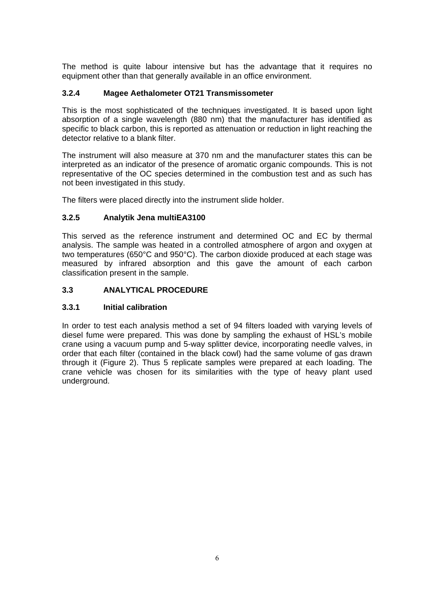<span id="page-12-0"></span>The method is quite labour intensive but has the advantage that it requires no equipment other than that generally available in an office environment.

#### **3.2.4 Magee Aethalometer OT21 Transmissometer**

This is the most sophisticated of the techniques investigated. It is based upon light absorption of a single wavelength (880 nm) that the manufacturer has identified as specific to black carbon, this is reported as attenuation or reduction in light reaching the detector relative to a blank filter.

The instrument will also measure at 370 nm and the manufacturer states this can be interpreted as an indicator of the presence of aromatic organic compounds. This is not representative of the OC species determined in the combustion test and as such has not been investigated in this study.

The filters were placed directly into the instrument slide holder.

### **3.2.5 Analytik Jena multiEA3100**

This served as the reference instrument and determined OC and EC by thermal analysis. The sample was heated in a controlled atmosphere of argon and oxygen at two temperatures (650°C and 950°C). The carbon dioxide produced at each stage was measured by infrared absorption and this gave the amount of each carbon classification present in the sample.

#### **3.3 ANALYTICAL PROCEDURE**

#### **3.3.1 Initial calibration**

In order to test each analysis method a set of 94 filters loaded with varying levels of diesel fume were prepared. This was done by sampling the exhaust of HSL's mobile crane using a vacuum pump and 5-way splitter device, incorporating needle valves, in order that each filter (contained in the black cowl) had the same volume of gas drawn through it (Figure 2). Thus 5 replicate samples were prepared at each loading. The crane vehicle was chosen for its similarities with the type of heavy plant used underground.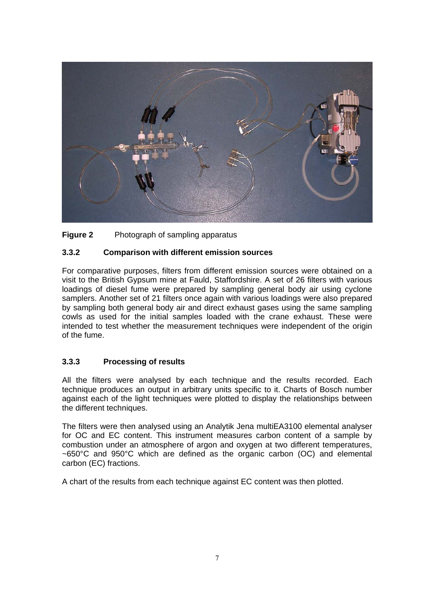

#### **Figure 2** Photograph of sampling apparatus

#### **3.3.2 Comparison with different emission sources**

For comparative purposes, filters from different emission sources were obtained on a visit to the British Gypsum mine at Fauld, Staffordshire. A set of 26 filters with various loadings of diesel fume were prepared by sampling general body air using cyclone samplers. Another set of 21 filters once again with various loadings were also prepared by sampling both general body air and direct exhaust gases using the same sampling cowls as used for the initial samples loaded with the crane exhaust. These were intended to test whether the measurement techniques were independent of the origin of the fume.

#### **3.3.3 Processing of results**

All the filters were analysed by each technique and the results recorded. Each technique produces an output in arbitrary units specific to it. Charts of Bosch number against each of the light techniques were plotted to display the relationships between the different techniques.

The filters were then analysed using an Analytik Jena multiEA3100 elemental analyser for OC and EC content. This instrument measures carbon content of a sample by combustion under an atmosphere of argon and oxygen at two different temperatures, ~650°C and 950°C which are defined as the organic carbon (OC) and elemental carbon (EC) fractions.

A chart of the results from each technique against EC content was then plotted.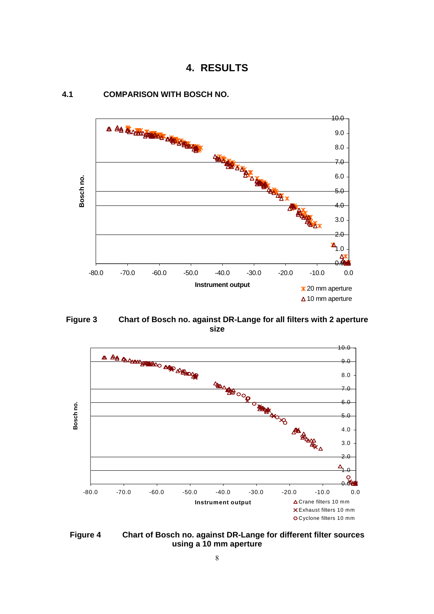



#### **4.1 COMPARISON WITH BOSCH NO.**

**Figure 3 Chart of Bosch no. against DR-Lange for all filters with 2 aperture size** 



**Figure 4 Chart of Bosch no. against DR-Lange for different filter sources using a 10 mm aperture**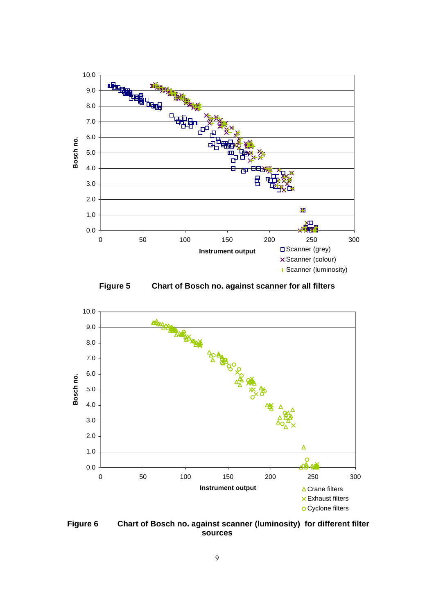





 **Figure 6 Chart of Bosch no. against scanner (luminosity) for different filter sources**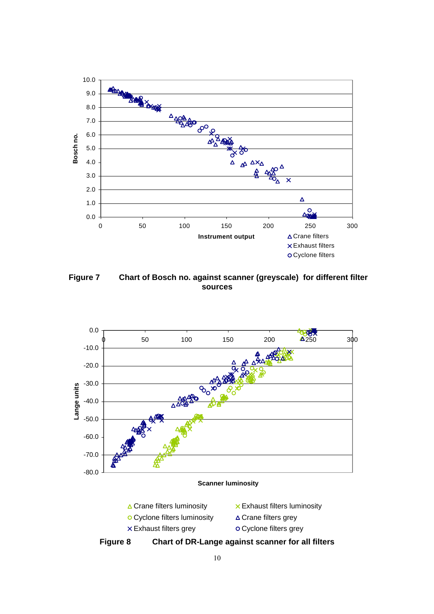

 **Figure 7 Chart of Bosch no. against scanner (greyscale) for different filter sources** 



**Figure 8 Chart of DR-Lange against scanner for all filters**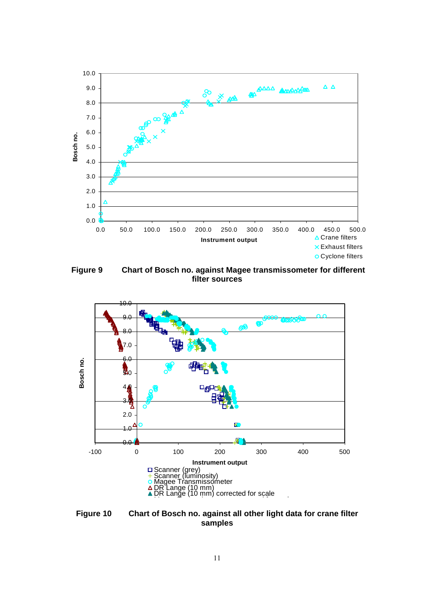

 **Figure 9 Chart of Bosch no. against Magee transmissometer for different filter sources** 



**Figure 10 Chart of Bosch no. against all other light data for crane filter samples**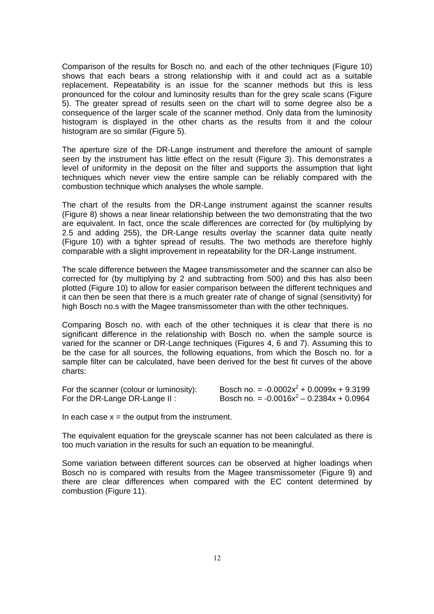Comparison of the results for Bosch no. and each of the other techniques (Figure 10) shows that each bears a strong relationship with it and could act as a suitable replacement. Repeatability is an issue for the scanner methods but this is less pronounced for the colour and luminosity results than for the grey scale scans (Figure 5). The greater spread of results seen on the chart will to some degree also be a consequence of the larger scale of the scanner method. Only data from the luminosity histogram is displayed in the other charts as the results from it and the colour histogram are so similar (Figure 5).

The aperture size of the DR-Lange instrument and therefore the amount of sample seen by the instrument has little effect on the result (Figure 3). This demonstrates a level of uniformity in the deposit on the filter and supports the assumption that light techniques which never view the entire sample can be reliably compared with the combustion technique which analyses the whole sample.

The chart of the results from the DR-Lange instrument against the scanner results (Figure 8) shows a near linear relationship between the two demonstrating that the two are equivalent. In fact, once the scale differences are corrected for (by multiplying by 2.5 and adding 255), the DR-Lange results overlay the scanner data quite neatly (Figure 10) with a tighter spread of results. The two methods are therefore highly comparable with a slight improvement in repeatability for the DR-Lange instrument.

The scale difference between the Magee transmissometer and the scanner can also be corrected for (by multiplying by 2 and subtracting from 500) and this has also been plotted (Figure 10) to allow for easier comparison between the different techniques and it can then be seen that there is a much greater rate of change of signal (sensitivity) for high Bosch no.s with the Magee transmissometer than with the other techniques.

 be the case for all sources, the following equations, from which the Bosch no. for a Comparing Bosch no. with each of the other techniques it is clear that there is no significant difference in the relationship with Bosch no. when the sample source is varied for the scanner or DR-Lange techniques (Figures 4, 6 and 7). Assuming this to sample filter can be calculated, have been derived for the best fit curves of the above charts:

| For the scanner (colour or luminosity): | Bosch no. = $-0.0002x^2 + 0.0099x + 9.3199$ |
|-----------------------------------------|---------------------------------------------|
| For the DR-Lange DR-Lange II:           | Bosch no. = $-0.0016x^2 - 0.2384x + 0.0964$ |

In each case  $x =$  the output from the instrument.

The equivalent equation for the greyscale scanner has not been calculated as there is too much variation in the results for such an equation to be meaningful.

Some variation between different sources can be observed at higher loadings when Bosch no is compared with results from the Magee transmissometer (Figure 9) and there are clear differences when compared with the EC content determined by combustion (Figure 11).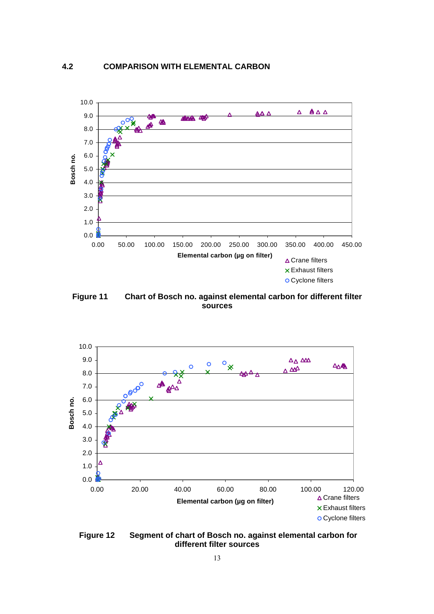<span id="page-19-0"></span>

**Figure 11 Chart of Bosch no. against elemental carbon for different filter sources** 



**Figure 12 Segment of chart of Bosch no. against elemental carbon for different filter sources**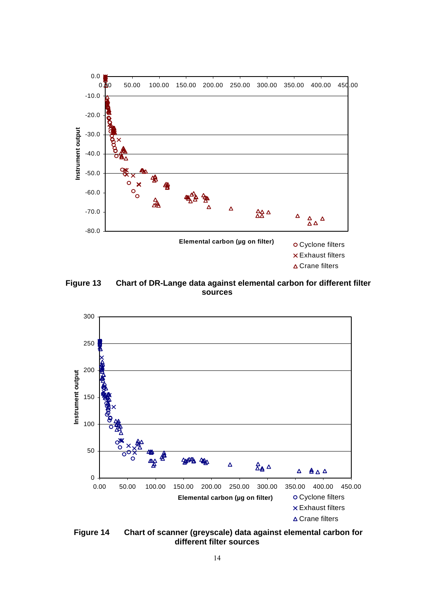

 **Figure 13 Chart of DR-Lange data against elemental carbon for different filter sources** 



 **Figure 14 Chart of scanner (greyscale) data against elemental carbon for different filter sources**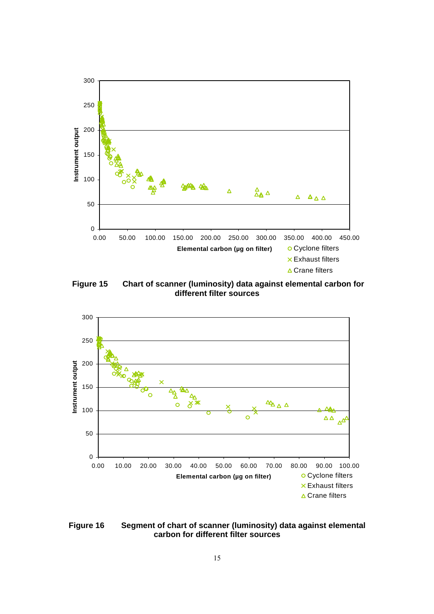

 **Figure 15 Chart of scanner (luminosity) data against elemental carbon for different filter sources** 



**Figure 16 Segment of chart of scanner (luminosity) data against elemental carbon for different filter sources**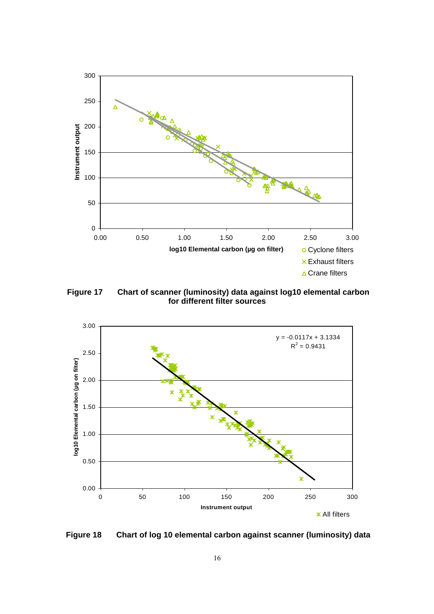

 **Figure 17 Chart of scanner (luminosity) data against log10 elemental carbon for different filter sources** 



**Figure 18 Chart of log 10 elemental carbon against scanner (luminosity) data**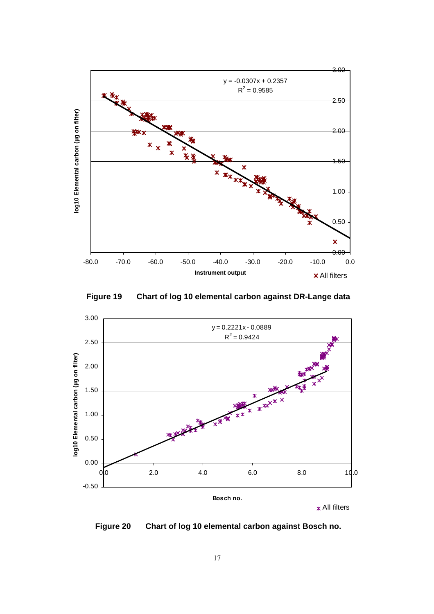

 **Figure 19 Chart of log 10 elemental carbon against DR-Lange data** 



 **Figure 20 Chart of log 10 elemental carbon against Bosch no.**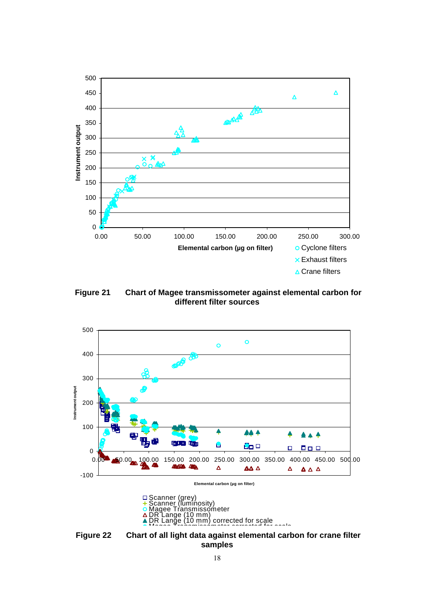![](_page_24_Figure_0.jpeg)

**Figure 21 Chart of Magee transmissometer against elemental carbon for different filter sources** 

![](_page_24_Figure_2.jpeg)

![](_page_24_Figure_3.jpeg)

**Figure 22 Chart of all light data against elemental carbon for crane filter samples**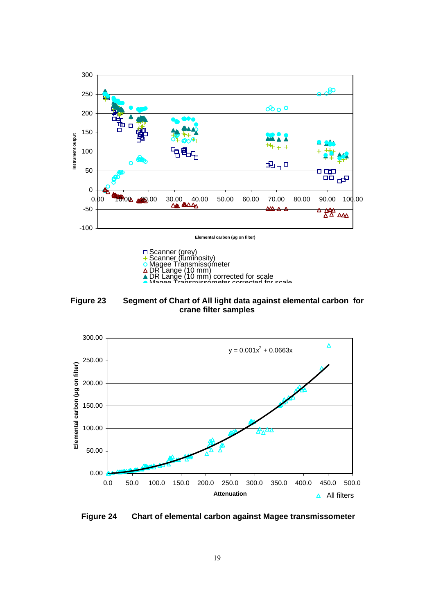![](_page_25_Figure_0.jpeg)

![](_page_25_Figure_1.jpeg)

DR Lange (10 mm) corrected for scale Magee Transmissometer corrected for scale

**Figure 23 Segment of Chart of All light data against elemental carbon for crane filter samples** 

![](_page_25_Figure_4.jpeg)

**Figure 24 Chart of elemental carbon against Magee transmissometer**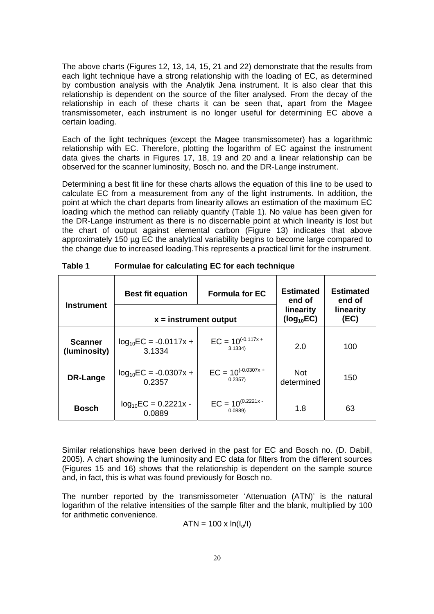The above charts (Figures 12, 13, 14, 15, 21 and 22) demonstrate that the results from each light technique have a strong relationship with the loading of EC, as determined by combustion analysis with the Analytik Jena instrument. It is also clear that this relationship is dependent on the source of the filter analysed. From the decay of the relationship in each of these charts it can be seen that, apart from the Magee transmissometer, each instrument is no longer useful for determining EC above a certain loading.

 data gives the charts in Figures 17, 18, 19 and 20 and a linear relationship can be Each of the light techniques (except the Magee transmissometer) has a logarithmic relationship with EC. Therefore, plotting the logarithm of EC against the instrument observed for the scanner luminosity, Bosch no. and the DR-Lange instrument.

Determining a best fit line for these charts allows the equation of this line to be used to calculate EC from a measurement from any of the light instruments. In addition, the point at which the chart departs from linearity allows an estimation of the maximum EC loading which the method can reliably quantify (Table 1). No value has been given for the DR-Lange instrument as there is no discernable point at which linearity is lost but the chart of output against elemental carbon (Figure 13) indicates that above approximately 150 µg EC the analytical variability begins to become large compared to the change due to increased loading.This represents a practical limit for the instrument.

| <b>Instrument</b>              | <b>Best fit equation</b>            | <b>Formula for EC</b>               | <b>Estimated</b><br>end of<br>linearity | <b>Estimated</b><br>end of<br>linearity |
|--------------------------------|-------------------------------------|-------------------------------------|-----------------------------------------|-----------------------------------------|
|                                | $x =$ instrument output             | $(log_{10}EC)$                      | (EC)                                    |                                         |
| <b>Scanner</b><br>(luminosity) | $log_{10}EC = -0.0117x +$<br>3.1334 | $EC = 10^{(-0.117x +}$<br>3.1334)   | 2.0                                     | 100                                     |
| DR-Lange                       | $log_{10}EC = -0.0307x +$<br>0.2357 | $EC = 10^{(-0.0307x +)}$<br>0.2357  | <b>Not</b><br>determined                | 150                                     |
| <b>Bosch</b>                   | $log_{10}EC = 0.2221x -$<br>0.0889  | $EC = 10^{(0.2221x - 1)}$<br>0.0889 | 1.8                                     | 63                                      |

**Table 1 Formulae for calculating EC for each technique** 

Similar relationships have been derived in the past for EC and Bosch no. (D. Dabill, 2005). A chart showing the luminosity and EC data for filters from the different sources (Figures 15 and 16) shows that the relationship is dependent on the sample source and, in fact, this is what was found previously for Bosch no.

The number reported by the transmissometer 'Attenuation (ATN)' is the natural logarithm of the relative intensities of the sample filter and the blank, multiplied by 100 for arithmetic convenience.

$$
ATN = 100 \times \ln(I_0/I)
$$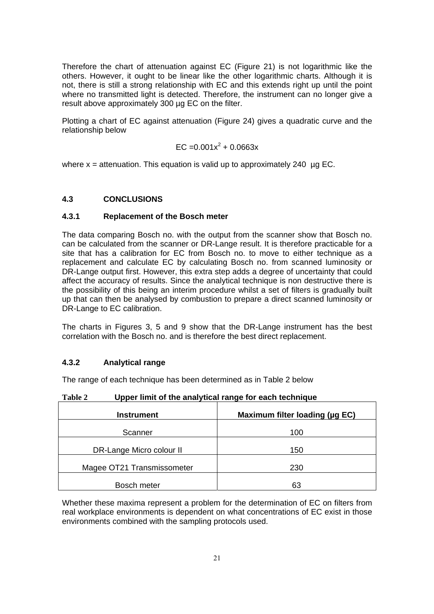Therefore the chart of attenuation against EC (Figure 21) is not logarithmic like the others. However, it ought to be linear like the other logarithmic charts. Although it is not, there is still a strong relationship with EC and this extends right up until the point where no transmitted light is detected. Therefore, the instrument can no longer give a result above approximately 300 µg EC on the filter.

Plotting a chart of EC against attenuation (Figure 24) gives a quadratic curve and the relationship below

$$
EC = 0.001x^2 + 0.0663x
$$

where  $x =$  attenuation. This equation is valid up to approximately 240 µg EC.

#### **4.3 CONCLUSIONS**

#### **4.3.1 Replacement of the Bosch meter**

The data comparing Bosch no. with the output from the scanner show that Bosch no. can be calculated from the scanner or DR-Lange result. It is therefore practicable for a site that has a calibration for EC from Bosch no. to move to either technique as a replacement and calculate EC by calculating Bosch no. from scanned luminosity or DR-Lange output first. However, this extra step adds a degree of uncertainty that could affect the accuracy of results. Since the analytical technique is non destructive there is the possibility of this being an interim procedure whilst a set of filters is gradually built up that can then be analysed by combustion to prepare a direct scanned luminosity or DR-Lange to EC calibration.

The charts in Figures 3, 5 and 9 show that the DR-Lange instrument has the best correlation with the Bosch no. and is therefore the best direct replacement.

#### **4.3.2 Analytical range**

The range of each technique has been determined as in Table 2 below

| Table 2 | Upper limit of the analytical range for each technique |
|---------|--------------------------------------------------------|
|---------|--------------------------------------------------------|

| <b>Instrument</b>          | Maximum filter loading (µg EC) |
|----------------------------|--------------------------------|
| Scanner                    | 100                            |
| DR-Lange Micro colour II   | 150                            |
| Magee OT21 Transmissometer | 230                            |
| Bosch meter                | 63                             |

Whether these maxima represent a problem for the determination of EC on filters from real workplace environments is dependent on what concentrations of EC exist in those environments combined with the sampling protocols used.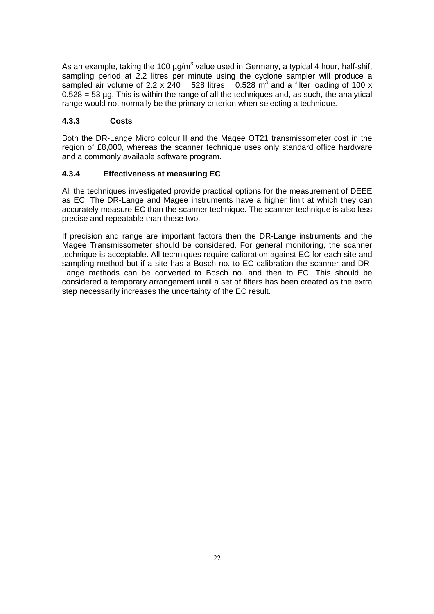As an example, taking the 100  $\mu$ g/m<sup>3</sup> value used in Germany, a typical 4 hour, half-shift sampling period at 2.2 litres per minute using the cyclone sampler will produce a sampled air volume of 2.2 x 240 = 528 litres = 0.528  $\text{m}^3$  and a filter loading of 100 x  $0.528 = 53$  µg. This is within the range of all the techniques and, as such, the analytical range would not normally be the primary criterion when selecting a technique.

#### **4.3.3 Costs**

Both the DR-Lange Micro colour II and the Magee OT21 transmissometer cost in the region of £8,000, whereas the scanner technique uses only standard office hardware and a commonly available software program.

#### **4.3.4 Effectiveness at measuring EC**

All the techniques investigated provide practical options for the measurement of DEEE as EC. The DR-Lange and Magee instruments have a higher limit at which they can accurately measure EC than the scanner technique. The scanner technique is also less precise and repeatable than these two.

If precision and range are important factors then the DR-Lange instruments and the Magee Transmissometer should be considered. For general monitoring, the scanner technique is acceptable. All techniques require calibration against EC for each site and sampling method but if a site has a Bosch no. to EC calibration the scanner and DR-Lange methods can be converted to Bosch no. and then to EC. This should be considered a temporary arrangement until a set of filters has been created as the extra step necessarily increases the uncertainty of the EC result.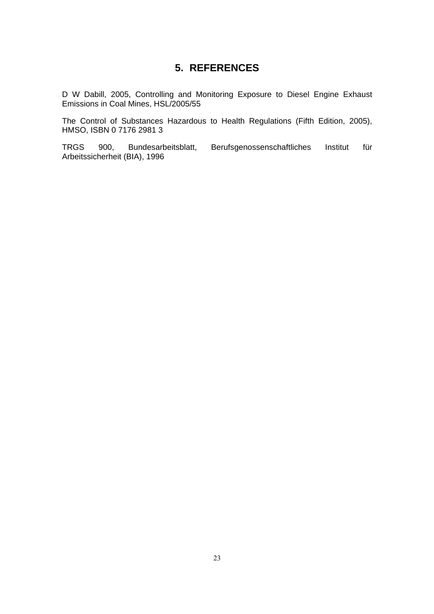# **5. REFERENCES**

D W Dabill, 2005, Controlling and Monitoring Exposure to Diesel Engine Exhaust Emissions in Coal Mines, HSL/2005/55

The Control of Substances Hazardous to Health Regulations (Fifth Edition, 2005), HMSO, ISBN 0 7176 2981 3

TRGS 900, Bundesarbeitsblatt, Berufsgenossenschaftliches Institut für Arbeitssicherheit (BIA), 1996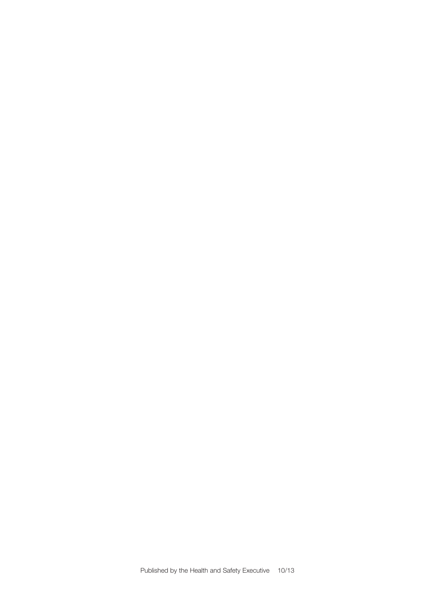Published by the Health and Safety Executive 10/13